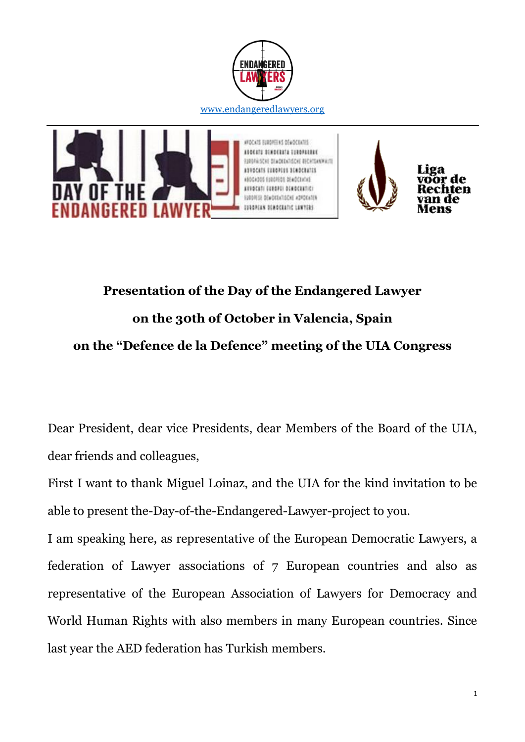



## **Presentation of the Day of the Endangered Lawyer on the 30th of October in Valencia, Spain on the "Defence de la Defence" meeting of the UIA Congress**

Dear President, dear vice Presidents, dear Members of the Board of the UIA, dear friends and colleagues,

First I want to thank Miguel Loinaz, and the UIA for the kind invitation to be able to present the-Day-of-the-Endangered-Lawyer-project to you.

I am speaking here, as representative of the European Democratic Lawyers, a federation of Lawyer associations of 7 European countries and also as representative of the European Association of Lawyers for Democracy and World Human Rights with also members in many European countries. Since last year the AED federation has Turkish members.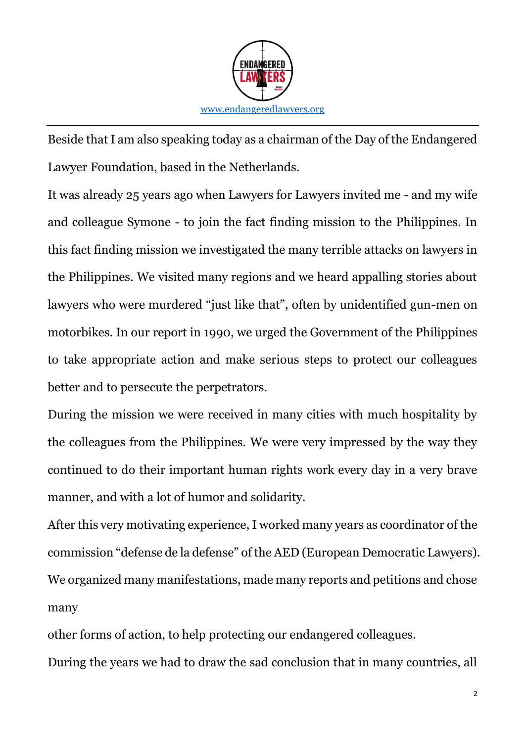

Beside that I am also speaking today as a chairman of the Day of the Endangered Lawyer Foundation, based in the Netherlands.

It was already 25 years ago when Lawyers for Lawyers invited me - and my wife and colleague Symone - to join the fact finding mission to the Philippines. In this fact finding mission we investigated the many terrible attacks on lawyers in the Philippines. We visited many regions and we heard appalling stories about lawyers who were murdered "just like that", often by unidentified gun-men on motorbikes. In our report in 1990, we urged the Government of the Philippines to take appropriate action and make serious steps to protect our colleagues better and to persecute the perpetrators.

During the mission we were received in many cities with much hospitality by the colleagues from the Philippines. We were very impressed by the way they continued to do their important human rights work every day in a very brave manner, and with a lot of humor and solidarity.

After this very motivating experience, I worked many years as coordinator of the commission "defense de la defense" of the AED (European Democratic Lawyers). We organized many manifestations, made many reports and petitions and chose many

other forms of action, to help protecting our endangered colleagues.

During the years we had to draw the sad conclusion that in many countries, all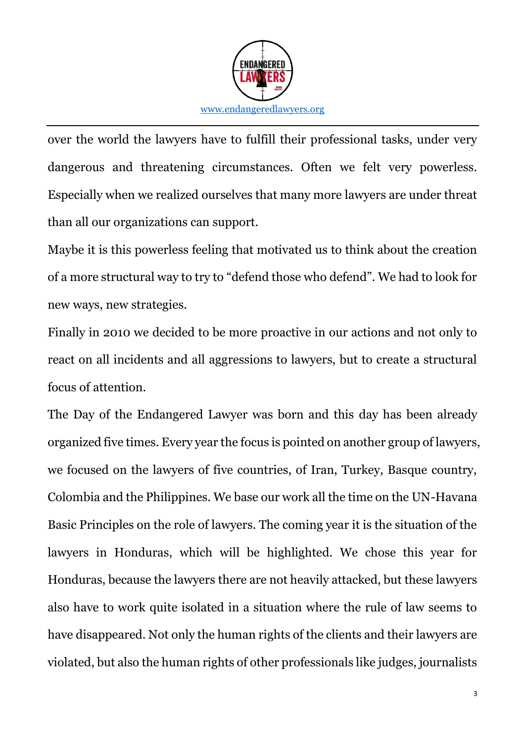

over the world the lawyers have to fulfill their professional tasks, under very dangerous and threatening circumstances. Often we felt very powerless. Especially when we realized ourselves that many more lawyers are under threat than all our organizations can support.

Maybe it is this powerless feeling that motivated us to think about the creation of a more structural way to try to "defend those who defend". We had to look for new ways, new strategies.

Finally in 2010 we decided to be more proactive in our actions and not only to react on all incidents and all aggressions to lawyers, but to create a structural focus of attention.

The Day of the Endangered Lawyer was born and this day has been already organized five times. Every year the focus is pointed on another group of lawyers, we focused on the lawyers of five countries, of Iran, Turkey, Basque country, Colombia and the Philippines. We base our work all the time on the UN-Havana Basic Principles on the role of lawyers. The coming year it is the situation of the lawyers in Honduras, which will be highlighted. We chose this year for Honduras, because the lawyers there are not heavily attacked, but these lawyers also have to work quite isolated in a situation where the rule of law seems to have disappeared. Not only the human rights of the clients and their lawyers are violated, but also the human rights of other professionals like judges, journalists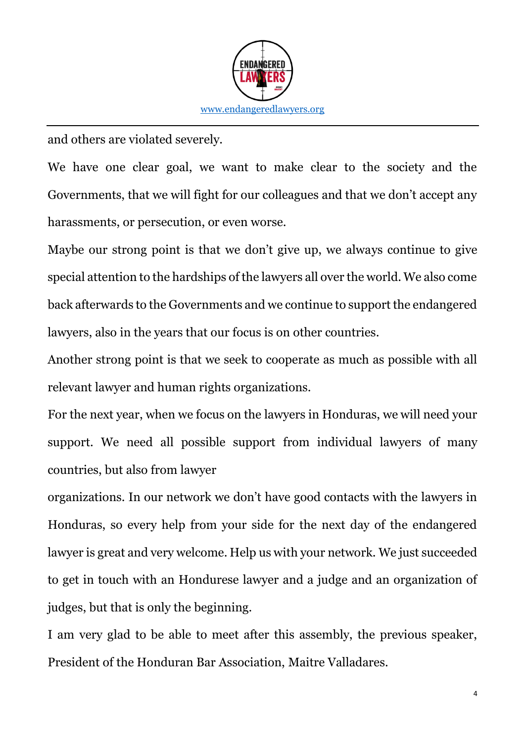

and others are violated severely.

We have one clear goal, we want to make clear to the society and the Governments, that we will fight for our colleagues and that we don't accept any harassments, or persecution, or even worse.

Maybe our strong point is that we don't give up, we always continue to give special attention to the hardships of the lawyers all over the world. We also come back afterwards to the Governments and we continue to support the endangered lawyers, also in the years that our focus is on other countries.

Another strong point is that we seek to cooperate as much as possible with all relevant lawyer and human rights organizations.

For the next year, when we focus on the lawyers in Honduras, we will need your support. We need all possible support from individual lawyers of many countries, but also from lawyer

organizations. In our network we don't have good contacts with the lawyers in Honduras, so every help from your side for the next day of the endangered lawyer is great and very welcome. Help us with your network. We just succeeded to get in touch with an Hondurese lawyer and a judge and an organization of judges, but that is only the beginning.

I am very glad to be able to meet after this assembly, the previous speaker, President of the Honduran Bar Association, Maitre Valladares.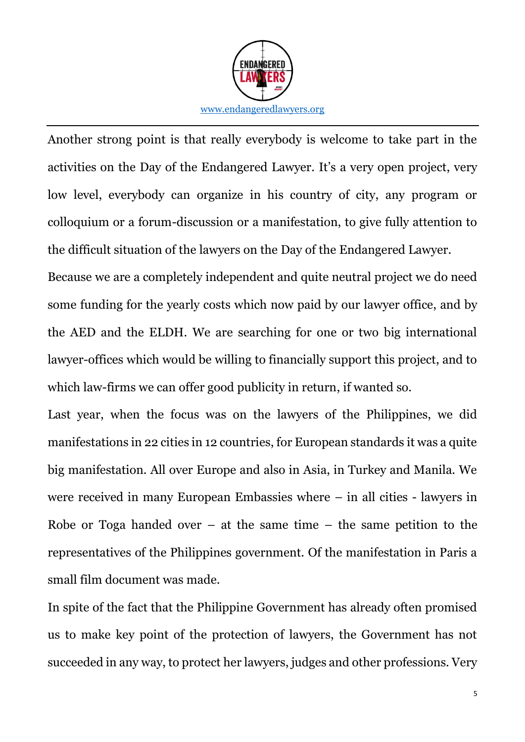

Another strong point is that really everybody is welcome to take part in the activities on the Day of the Endangered Lawyer. It's a very open project, very low level, everybody can organize in his country of city, any program or colloquium or a forum-discussion or a manifestation, to give fully attention to the difficult situation of the lawyers on the Day of the Endangered Lawyer.

Because we are a completely independent and quite neutral project we do need some funding for the yearly costs which now paid by our lawyer office, and by the AED and the ELDH. We are searching for one or two big international lawyer-offices which would be willing to financially support this project, and to which law-firms we can offer good publicity in return, if wanted so.

Last year, when the focus was on the lawyers of the Philippines, we did manifestations in 22 cities in 12 countries, for European standards it was a quite big manifestation. All over Europe and also in Asia, in Turkey and Manila. We were received in many European Embassies where – in all cities - lawyers in Robe or Toga handed over  $-$  at the same time  $-$  the same petition to the representatives of the Philippines government. Of the manifestation in Paris a small film document was made.

In spite of the fact that the Philippine Government has already often promised us to make key point of the protection of lawyers, the Government has not succeeded in any way, to protect her lawyers, judges and other professions. Very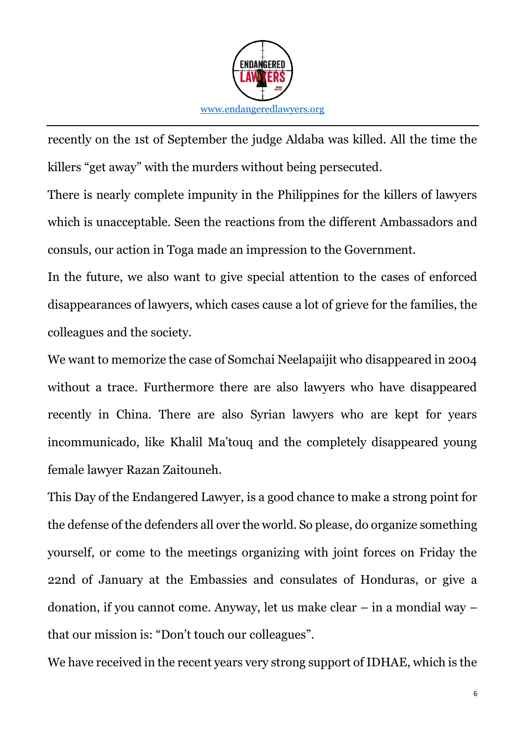

recently on the 1st of September the judge Aldaba was killed. All the time the killers "get away" with the murders without being persecuted.

There is nearly complete impunity in the Philippines for the killers of lawyers which is unacceptable. Seen the reactions from the different Ambassadors and consuls, our action in Toga made an impression to the Government.

In the future, we also want to give special attention to the cases of enforced disappearances of lawyers, which cases cause a lot of grieve for the families, the colleagues and the society.

We want to memorize the case of Somchai Neelapaijit who disappeared in 2004 without a trace. Furthermore there are also lawyers who have disappeared recently in China. There are also Syrian lawyers who are kept for years incommunicado, like Khalil Ma'touq and the completely disappeared young female lawyer Razan Zaitouneh.

This Day of the Endangered Lawyer, is a good chance to make a strong point for the defense of the defenders all over the world. So please, do organize something yourself, or come to the meetings organizing with joint forces on Friday the 22nd of January at the Embassies and consulates of Honduras, or give a donation, if you cannot come. Anyway, let us make clear – in a mondial way – that our mission is: "Don't touch our colleagues".

We have received in the recent years very strong support of IDHAE, which is the